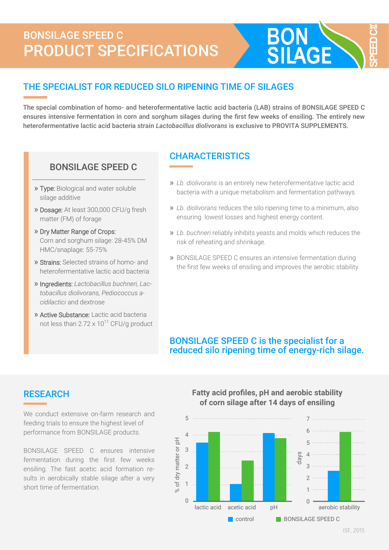# BONSILAGE SPEED C PRODUCT SPECIFICATIONS



## THE SPECIALIST FOR REDUCED SILO RIPENING TIME OF SILAGES

The special combination of homo- and heterofermentative lactic acid bacteria (LAB) strains of BONSILAGE SPEED C ensures intensive fermentation in corn and sorghum silages during the first few weeks of ensiling. The entirely new heterofermentative lactic acid bacteria strain *Lactobacillus diolivorans* is exclusive to PROVITA SUPPLEMENTS.

## BONSILAGE SPEED C

- » Type: Biological and water soluble silage additive
- » Dosage: At least 300,000 CFU/g fresh matter (FM) of forage
- » Dry Matter Range of Crops: Corn and sorghum silage: 28-45% DM HMC/snaplage: 55-75%
- » Strains: Selected strains of homo- and heterofermentative lactic acid bacteria
- » Ingredients: *Lactobacillus buchneri, Lactobacillus diolivorans, Pediococcus acidilactici* and dextrose
- » Active Substance: Lactic acid bacteria not less than  $2.72 \times 10^{11}$  CFU/g product

## **CHARACTERISTICS**

- » *Lb. diolivorans* is an entirely new heterofermentative lactic acid bacteria with a unique metabolism and fermentation pathways.
- » *Lb. diolivorans* reduces the silo ripening time to a minimum, also ensuring lowest losses and highest energy content.
- » *Lb. buchneri* reliably inhibits yeasts and molds which reduces the risk of reheating and shrinkage.
- » BONSILAGE SPEED C ensures an intensive fermentation during the first few weeks of ensiling and improves the aerobic stability.

### BONSILAGE SPEED C is the specialist for a reduced silo ripening time of energy-rich silage.

## **RESEARCH**

We conduct extensive on-farm research and feeding trials to ensure the highest level of performance from BONSILAGE products.

BONSILAGE SPEED C ensures intensive fermentation during the first few weeks ensiling. The fast acetic acid formation results in aerobically stable silage after a very short time of fermentation.

#### **Fatty acid profiles, pH and aerobic stability of corn silage after 14 days of ensiling**